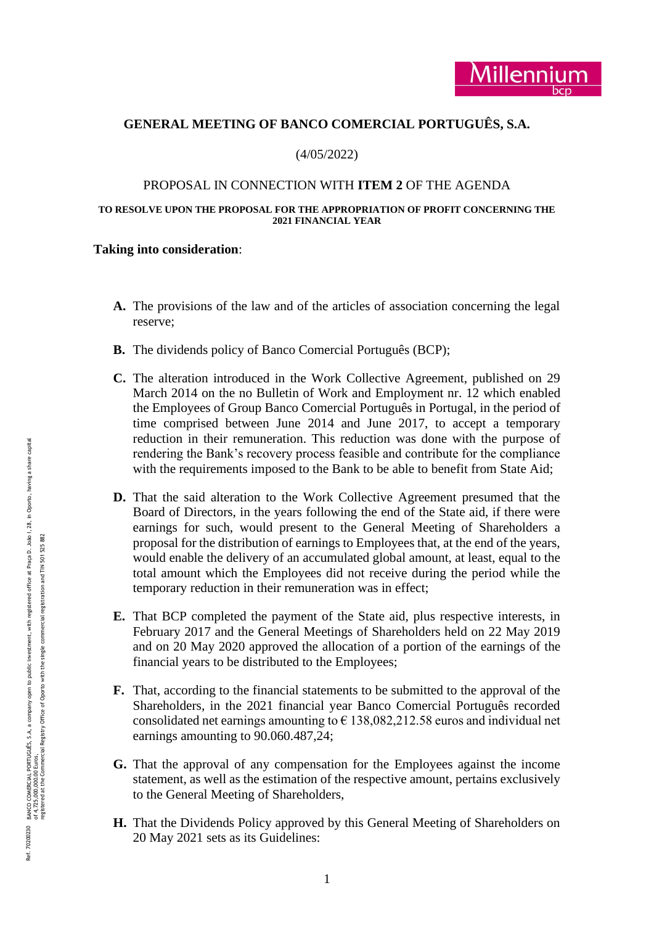# **GENERAL MEETING OF BANCO COMERCIAL PORTUGUÊS, S.A.**

(4/05/2022)

#### PROPOSAL IN CONNECTION WITH **ITEM 2** OF THE AGENDA

#### **TO RESOLVE UPON THE PROPOSAL FOR THE APPROPRIATION OF PROFIT CONCERNING THE 2021 FINANCIAL YEAR**

### **Taking into consideration** :

- **A.** The provisions of the law and of the articles of association concerning the legal reserve;
- **B.** The dividends policy of Banco Comercial Português (BCP);
- **C.** The alteration introduced in the Work Collective Agreement, published on 29 March 2014 on the no Bulletin of Work and Employment nr. 12 which enabled the Employees of Group Banco Comercial Português in Portugal, in the period of time comprised between June 2014 and June 2017, to accept a temporary reduction in their remuneration. This reduction was done with the purpose of rendering the Bank's recovery process feasible and contribute for the compliance with the requirements imposed to the Bank to be able to benefit from State Aid;
- **D.** That the said alteration to the Work Collective Agreement presumed that the Board of Directors, in the years following the end of the State aid, if there were earnings for such, would present to the General Meeting of Shareholders a proposal for the distribution of earnings to Employees that, at the end of the years, would enable the delivery of an accumulated global amount, at least, equal to the total amount which the Employees did not receive during the period while the temporary reduction in their remuneration was in effect;
- **E.** That BCP completed the payment of the State aid, plus respective interests, in February 2017 and the General Meetings of Shareholders held on 22 May 2019 and on 20 May 2020 approved the allocation of a portion of the earnings of the financial years to be distributed to the Employees;
- **F.** That, according to the financial statements to be submitted to the approval of the Shareholders, in the 2021 financial year Banco Comercial Português recorded consolidated net earnings amounting to  $\epsilon$  138,082,212.58 euros and individual net earnings amounting to 90.060.487,24;
- **G.** That the approval of any compensation for the Employees against the income statement, as well as the estimation of the respective amount, pertains exclusively to the General Meeting of Shareholders,
- **H.** That the Dividends Policy approved by this General Meeting of Shareholders on 20 May 2021 sets as its Guidelines: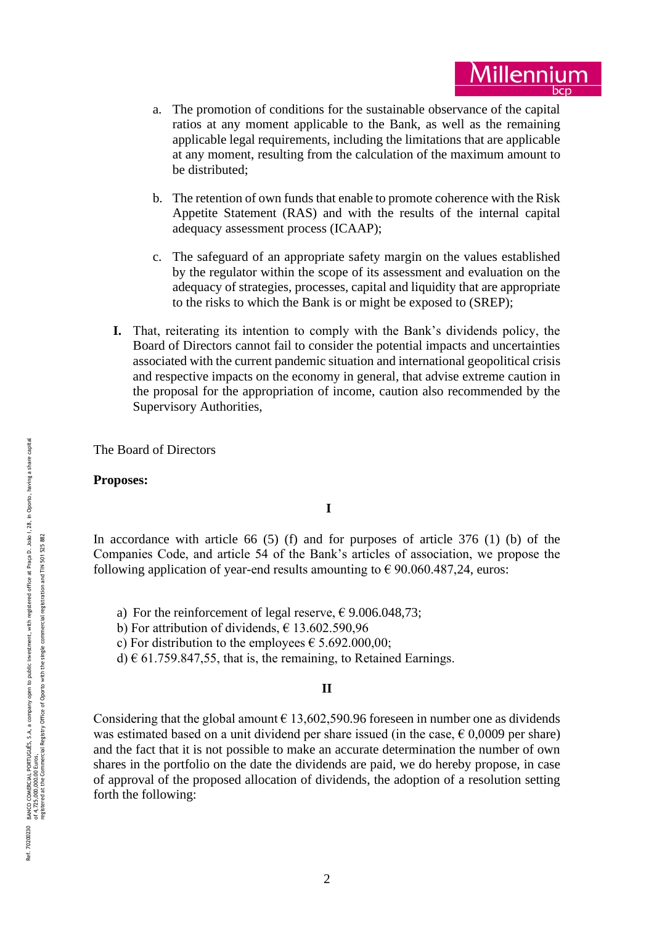- a. The promotion of conditions for the sustainable observance of the capital ratios at any moment applicable to the Bank, as well as the remaining applicable legal requirements, including the limitations that are applicable at any moment, resulting from the calculation of the maximum amount to be distributed;
- b. The retention of own funds that enable to promote coherence with the Risk Appetite Statement (RAS) and with the results of the internal capital adequacy assessment process (ICAAP);
- c. The safeguard of an appropriate safety margin on the values established by the regulator within the scope of its assessment and evaluation on the adequacy of strategies, processes, capital and liquidity that are appropriate to the risks to which the Bank is or might be exposed to (SREP);
- **I.** That, reiterating its intention to comply with the Bank's dividends policy, the Board of Directors cannot fail to consider the potential impacts and uncertainties associated with the current pandemic situation and international geopolitical crisi s and respective impacts on the economy in general, that advise extreme caution in the proposal for the appropriation of income, caution also recommended by the Supervisory Authorities,

The Board of Directors

#### **Proposes:**

# **I**

In accordance with article 66  $(5)$  (f) and for purposes of article 376  $(1)$  (b) of the Companies Code, and article 54 of the Bank's articles of association, we propose the following application of year-end results amounting to  $\epsilon$  90.060.487,24, euros:

a) For the reinforcement of legal reserve,  $\epsilon$  9.006.048,73;

b) For attribution of dividends,  $\epsilon$  13.602.590,96

c) For distribution to the employees  $\epsilon$  5.692.000,00;

d)  $\in$  61.759.847,55, that is, the remaining, to Retained Earnings.

# **II**

Considering that the global amount  $\epsilon$  13,602,590.96 foreseen in number one as dividends was estimated based on a unit dividend per share issued (in the case,  $\epsilon$  0,0009 per share) and the fact that it is not possible to make an accurate determination the number of own shares in the portfolio on the date the dividends are paid, we do hereby propose, in case of approval of the proposed allocation of dividends, the adoption of a resolution setting forth the following: